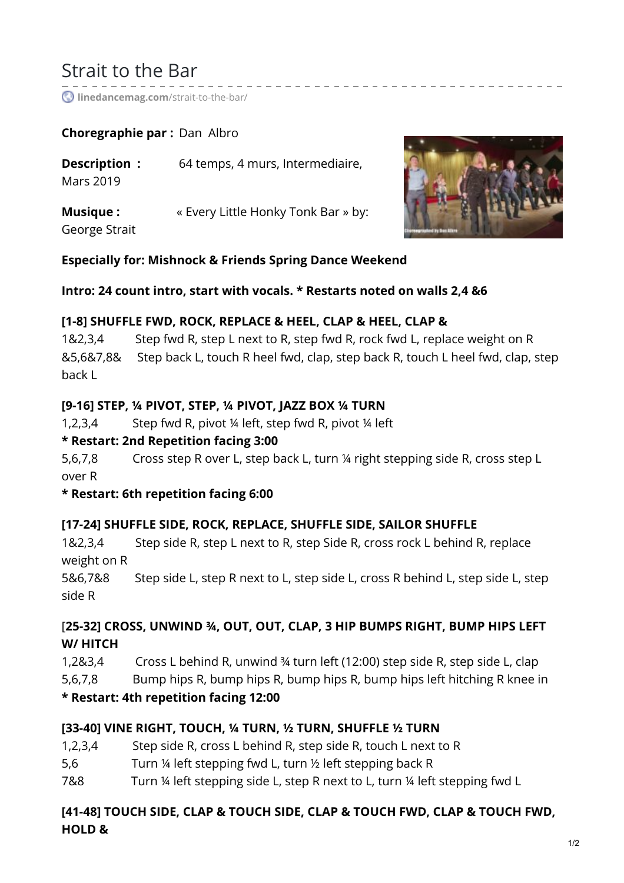# Strait to the Bar

**[linedancemag.com](https://www.linedancemag.com/strait-to-the-bar/)**/strait-to-the-bar/

### **Choregraphie par :** Dan Albro

| Description : | 64 temps, 4 murs, Intermediaire, |
|---------------|----------------------------------|
| Mars 2019     |                                  |

**Musique :** « Every Little Honky Tonk Bar » by:

George Strait



#### **Especially for: Mishnock & Friends Spring Dance Weekend**

**Intro: 24 count intro, start with vocals. \* Restarts noted on walls 2,4 &6**

## **[1-8] SHUFFLE FWD, ROCK, REPLACE & HEEL, CLAP & HEEL, CLAP &**

1&2,3,4 Step fwd R, step L next to R, step fwd R, rock fwd L, replace weight on R &5,6&7,8& Step back L, touch R heel fwd, clap, step back R, touch L heel fwd, clap, step back L

## **[9-16] STEP, ¼ PIVOT, STEP, ¼ PIVOT, JAZZ BOX ¼ TURN**

1,2,3,4 Step fwd R, pivot ¼ left, step fwd R, pivot ¼ left

## **\* Restart: 2nd Repetition facing 3:00**

5,6,7,8 Cross step R over L, step back L, turn ¼ right stepping side R, cross step L over R

## **\* Restart: 6th repetition facing 6:00**

## **[17-24] SHUFFLE SIDE, ROCK, REPLACE, SHUFFLE SIDE, SAILOR SHUFFLE**

1&2,3,4 Step side R, step L next to R, step Side R, cross rock L behind R, replace weight on R

5&6,7&8 Step side L, step R next to L, step side L, cross R behind L, step side L, step side R

# [**25-32] CROSS, UNWIND ¾, OUT, OUT, CLAP, 3 HIP BUMPS RIGHT, BUMP HIPS LEFT W/ HITCH**

1,2&3,4 Cross L behind R, unwind ¾ turn left (12:00) step side R, step side L, clap

5,6,7,8 Bump hips R, bump hips R, bump hips R, bump hips left hitching R knee in

# **\* Restart: 4th repetition facing 12:00**

# **[33-40] VINE RIGHT, TOUCH, ¼ TURN, ½ TURN, SHUFFLE ½ TURN**

- 1,2,3,4 Step side R, cross L behind R, step side R, touch L next to R
- 5,6 Turn ¼ left stepping fwd L, turn ½ left stepping back R
- 7&8 Turn ¼ left stepping side L, step R next to L, turn ¼ left stepping fwd L

# **[41-48] TOUCH SIDE, CLAP & TOUCH SIDE, CLAP & TOUCH FWD, CLAP & TOUCH FWD, HOLD &**